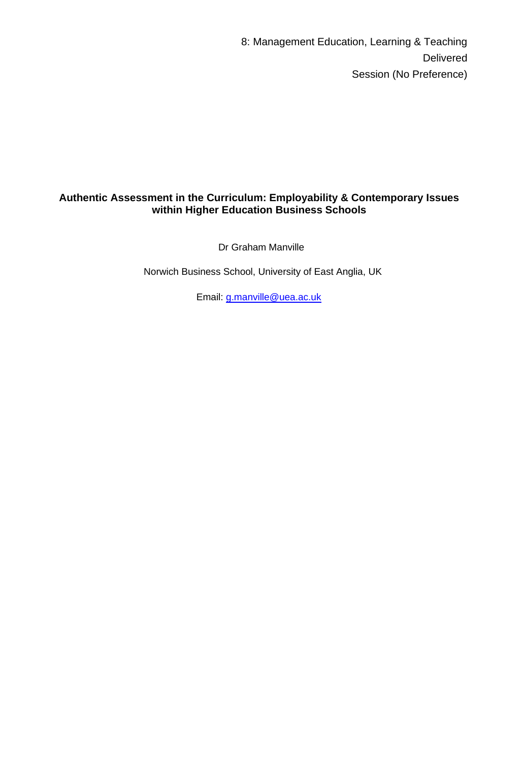8: Management Education, Learning & Teaching Delivered Session (No Preference)

# **Authentic Assessment in the Curriculum: Employability & Contemporary Issues within Higher Education Business Schools**

Dr Graham Manville

Norwich Business School, University of East Anglia, UK

Email: [g.manville@uea.ac.uk](mailto:g.manville@uea.ac.uk)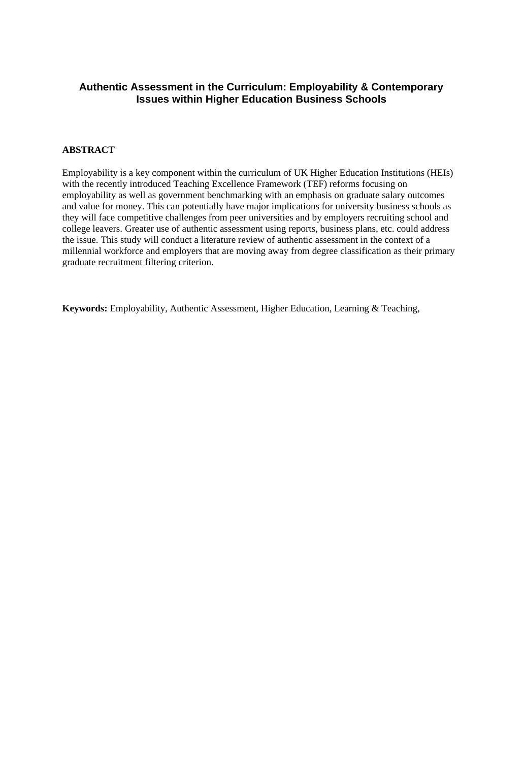## **Authentic Assessment in the Curriculum: Employability & Contemporary Issues within Higher Education Business Schools**

## **ABSTRACT**

Employability is a key component within the curriculum of UK Higher Education Institutions (HEIs) with the recently introduced Teaching Excellence Framework (TEF) reforms focusing on employability as well as government benchmarking with an emphasis on graduate salary outcomes and value for money. This can potentially have major implications for university business schools as they will face competitive challenges from peer universities and by employers recruiting school and college leavers. Greater use of authentic assessment using reports, business plans, etc. could address the issue. This study will conduct a literature review of authentic assessment in the context of a millennial workforce and employers that are moving away from degree classification as their primary graduate recruitment filtering criterion.

**Keywords:** Employability, Authentic Assessment, Higher Education, Learning & Teaching,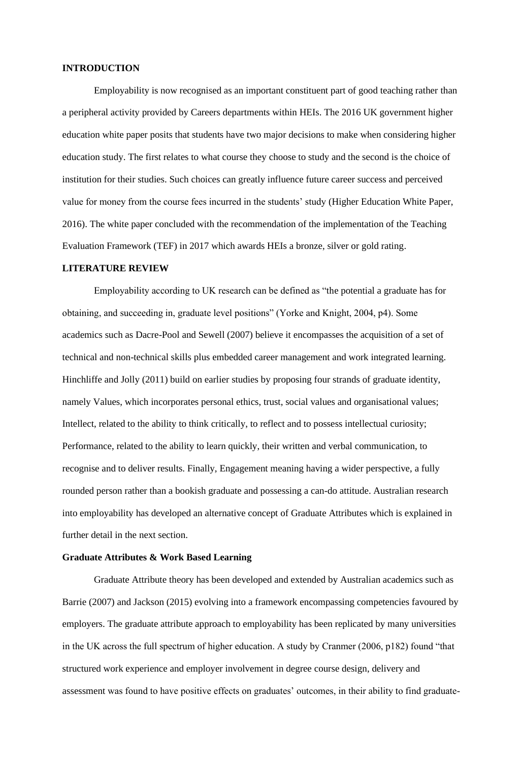## **INTRODUCTION**

Employability is now recognised as an important constituent part of good teaching rather than a peripheral activity provided by Careers departments within HEIs. The 2016 UK government higher education white paper posits that students have two major decisions to make when considering higher education study. The first relates to what course they choose to study and the second is the choice of institution for their studies. Such choices can greatly influence future career success and perceived value for money from the course fees incurred in the students' study (Higher Education White Paper, 2016). The white paper concluded with the recommendation of the implementation of the Teaching Evaluation Framework (TEF) in 2017 which awards HEIs a bronze, silver or gold rating.

### **LITERATURE REVIEW**

Employability according to UK research can be defined as "the potential a graduate has for obtaining, and succeeding in, graduate level positions" (Yorke and Knight, 2004, p4). Some academics such as Dacre-Pool and Sewell (2007) believe it encompasses the acquisition of a set of technical and non-technical skills plus embedded career management and work integrated learning. Hinchliffe and Jolly (2011) build on earlier studies by proposing four strands of graduate identity, namely Values, which incorporates personal ethics, trust, social values and organisational values; Intellect, related to the ability to think critically, to reflect and to possess intellectual curiosity; Performance, related to the ability to learn quickly, their written and verbal communication, to recognise and to deliver results. Finally, Engagement meaning having a wider perspective, a fully rounded person rather than a bookish graduate and possessing a can-do attitude. Australian research into employability has developed an alternative concept of Graduate Attributes which is explained in further detail in the next section.

## **Graduate Attributes & Work Based Learning**

Graduate Attribute theory has been developed and extended by Australian academics such as Barrie (2007) and Jackson (2015) evolving into a framework encompassing competencies favoured by employers. The graduate attribute approach to employability has been replicated by many universities in the UK across the full spectrum of higher education. A study by Cranmer (2006, p182) found "that structured work experience and employer involvement in degree course design, delivery and assessment was found to have positive effects on graduates' outcomes, in their ability to find graduate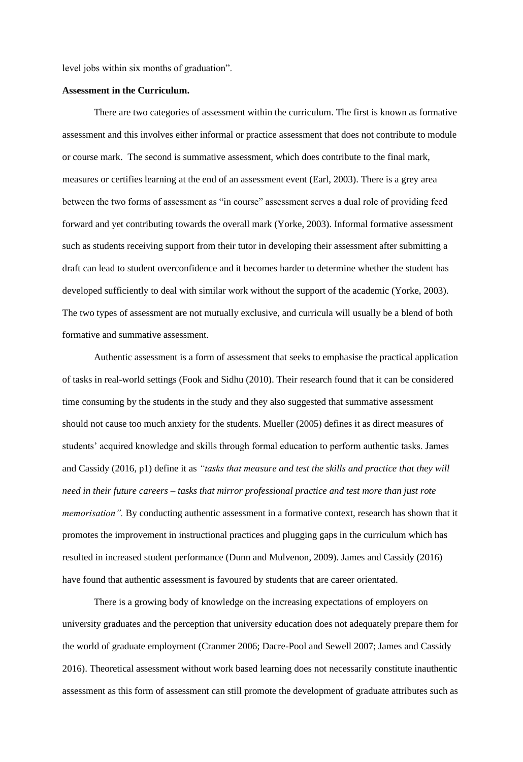level jobs within six months of graduation".

## **Assessment in the Curriculum.**

There are two categories of assessment within the curriculum. The first is known as formative assessment and this involves either informal or practice assessment that does not contribute to module or course mark. The second is summative assessment, which does contribute to the final mark, measures or certifies learning at the end of an assessment event (Earl, 2003). There is a grey area between the two forms of assessment as "in course" assessment serves a dual role of providing feed forward and yet contributing towards the overall mark (Yorke, 2003). Informal formative assessment such as students receiving support from their tutor in developing their assessment after submitting a draft can lead to student overconfidence and it becomes harder to determine whether the student has developed sufficiently to deal with similar work without the support of the academic (Yorke, 2003). The two types of assessment are not mutually exclusive, and curricula will usually be a blend of both formative and summative assessment.

Authentic assessment is a form of assessment that seeks to emphasise the practical application of tasks in real-world settings (Fook and Sidhu (2010). Their research found that it can be considered time consuming by the students in the study and they also suggested that summative assessment should not cause too much anxiety for the students. Mueller (2005) defines it as direct measures of students' acquired knowledge and skills through formal education to perform authentic tasks. James and Cassidy (2016, p1) define it as *"tasks that measure and test the skills and practice that they will need in their future careers – tasks that mirror professional practice and test more than just rote memorisation"*. By conducting authentic assessment in a formative context, research has shown that it promotes the improvement in instructional practices and plugging gaps in the curriculum which has resulted in increased student performance (Dunn and Mulvenon, 2009). James and Cassidy (2016) have found that authentic assessment is favoured by students that are career orientated.

There is a growing body of knowledge on the increasing expectations of employers on university graduates and the perception that university education does not adequately prepare them for the world of graduate employment (Cranmer 2006; Dacre-Pool and Sewell 2007; James and Cassidy 2016). Theoretical assessment without work based learning does not necessarily constitute inauthentic assessment as this form of assessment can still promote the development of graduate attributes such as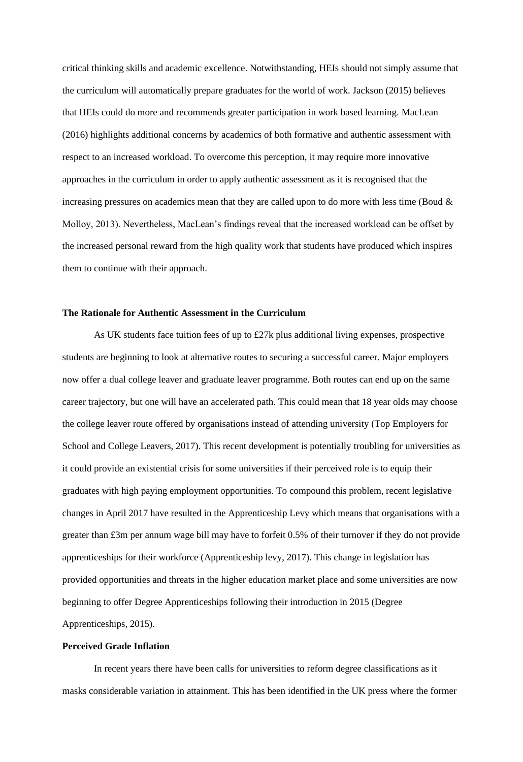critical thinking skills and academic excellence. Notwithstanding, HEIs should not simply assume that the curriculum will automatically prepare graduates for the world of work. Jackson (2015) believes that HEIs could do more and recommends greater participation in work based learning. MacLean (2016) highlights additional concerns by academics of both formative and authentic assessment with respect to an increased workload. To overcome this perception, it may require more innovative approaches in the curriculum in order to apply authentic assessment as it is recognised that the increasing pressures on academics mean that they are called upon to do more with less time (Boud & Molloy, 2013). Nevertheless, MacLean's findings reveal that the increased workload can be offset by the increased personal reward from the high quality work that students have produced which inspires them to continue with their approach.

#### **The Rationale for Authentic Assessment in the Curriculum**

As UK students face tuition fees of up to £27k plus additional living expenses, prospective students are beginning to look at alternative routes to securing a successful career. Major employers now offer a dual college leaver and graduate leaver programme. Both routes can end up on the same career trajectory, but one will have an accelerated path. This could mean that 18 year olds may choose the college leaver route offered by organisations instead of attending university (Top Employers for School and College Leavers, 2017). This recent development is potentially troubling for universities as it could provide an existential crisis for some universities if their perceived role is to equip their graduates with high paying employment opportunities. To compound this problem, recent legislative changes in April 2017 have resulted in the Apprenticeship Levy which means that organisations with a greater than £3m per annum wage bill may have to forfeit 0.5% of their turnover if they do not provide apprenticeships for their workforce (Apprenticeship levy, 2017). This change in legislation has provided opportunities and threats in the higher education market place and some universities are now beginning to offer Degree Apprenticeships following their introduction in 2015 (Degree Apprenticeships, 2015).

## **Perceived Grade Inflation**

In recent years there have been calls for universities to reform degree classifications as it masks considerable variation in attainment. This has been identified in the UK press where the former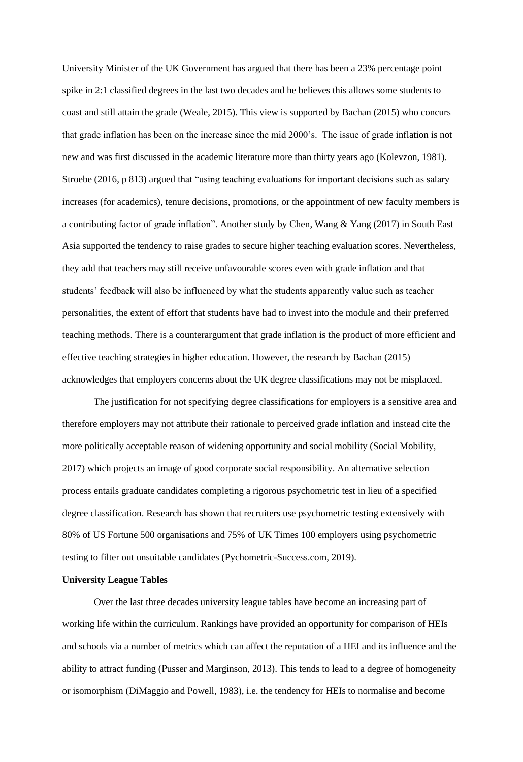University Minister of the UK Government has argued that there has been a 23% percentage point spike in 2:1 classified degrees in the last two decades and he believes this allows some students to coast and still attain the grade (Weale, 2015). This view is supported by Bachan (2015) who concurs that grade inflation has been on the increase since the mid 2000's. The issue of grade inflation is not new and was first discussed in the academic literature more than thirty years ago (Kolevzon, 1981). Stroebe (2016, p 813) argued that "using teaching evaluations for important decisions such as salary increases (for academics), tenure decisions, promotions, or the appointment of new faculty members is a contributing factor of grade inflation". Another study by Chen, Wang & Yang (2017) in South East Asia supported the tendency to raise grades to secure higher teaching evaluation scores. Nevertheless, they add that teachers may still receive unfavourable scores even with grade inflation and that students' feedback will also be influenced by what the students apparently value such as teacher personalities, the extent of effort that students have had to invest into the module and their preferred teaching methods. There is a counterargument that grade inflation is the product of more efficient and effective teaching strategies in higher education. However, the research by Bachan (2015) acknowledges that employers concerns about the UK degree classifications may not be misplaced.

The justification for not specifying degree classifications for employers is a sensitive area and therefore employers may not attribute their rationale to perceived grade inflation and instead cite the more politically acceptable reason of widening opportunity and social mobility (Social Mobility, 2017) which projects an image of good corporate social responsibility. An alternative selection process entails graduate candidates completing a rigorous psychometric test in lieu of a specified degree classification. Research has shown that recruiters use psychometric testing extensively with 80% of US Fortune 500 organisations and 75% of UK Times 100 employers using psychometric testing to filter out unsuitable candidates (Pychometric-Success.com, 2019).

## **University League Tables**

Over the last three decades university league tables have become an increasing part of working life within the curriculum. Rankings have provided an opportunity for comparison of HEIs and schools via a number of metrics which can affect the reputation of a HEI and its influence and the ability to attract funding (Pusser and Marginson, 2013). This tends to lead to a degree of homogeneity or isomorphism (DiMaggio and Powell, 1983), i.e. the tendency for HEIs to normalise and become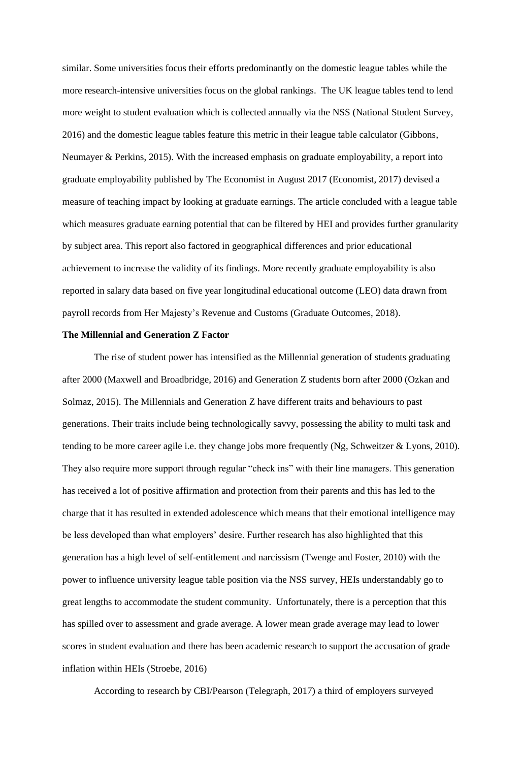similar. Some universities focus their efforts predominantly on the domestic league tables while the more research-intensive universities focus on the global rankings. The UK league tables tend to lend more weight to student evaluation which is collected annually via the NSS (National Student Survey, 2016) and the domestic league tables feature this metric in their league table calculator (Gibbons, Neumayer & Perkins, 2015). With the increased emphasis on graduate employability, a report into graduate employability published by The Economist in August 2017 (Economist, 2017) devised a measure of teaching impact by looking at graduate earnings. The article concluded with a league table which measures graduate earning potential that can be filtered by HEI and provides further granularity by subject area. This report also factored in geographical differences and prior educational achievement to increase the validity of its findings. More recently graduate employability is also reported in salary data based on five year longitudinal educational outcome (LEO) data drawn from payroll records from Her Majesty's Revenue and Customs (Graduate Outcomes, 2018).

## **The Millennial and Generation Z Factor**

The rise of student power has intensified as the Millennial generation of students graduating after 2000 (Maxwell and Broadbridge, 2016) and Generation Z students born after 2000 (Ozkan and Solmaz, 2015). The Millennials and Generation Z have different traits and behaviours to past generations. Their traits include being technologically savvy, possessing the ability to multi task and tending to be more career agile i.e. they change jobs more frequently (Ng, Schweitzer & Lyons, 2010). They also require more support through regular "check ins" with their line managers. This generation has received a lot of positive affirmation and protection from their parents and this has led to the charge that it has resulted in extended adolescence which means that their emotional intelligence may be less developed than what employers' desire. Further research has also highlighted that this generation has a high level of self-entitlement and narcissism (Twenge and Foster, 2010) with the power to influence university league table position via the NSS survey, HEIs understandably go to great lengths to accommodate the student community. Unfortunately, there is a perception that this has spilled over to assessment and grade average. A lower mean grade average may lead to lower scores in student evaluation and there has been academic research to support the accusation of grade inflation within HEIs (Stroebe, 2016)

According to research by CBI/Pearson (Telegraph, 2017) a third of employers surveyed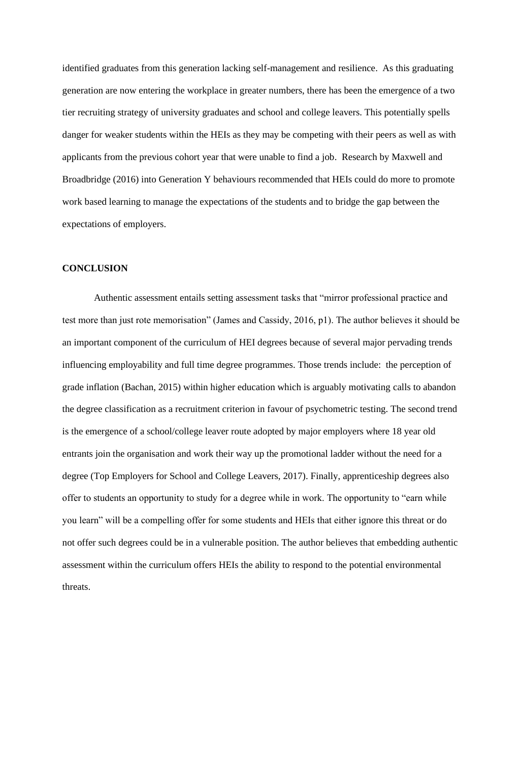identified graduates from this generation lacking self-management and resilience. As this graduating generation are now entering the workplace in greater numbers, there has been the emergence of a two tier recruiting strategy of university graduates and school and college leavers. This potentially spells danger for weaker students within the HEIs as they may be competing with their peers as well as with applicants from the previous cohort year that were unable to find a job. Research by Maxwell and Broadbridge (2016) into Generation Y behaviours recommended that HEIs could do more to promote work based learning to manage the expectations of the students and to bridge the gap between the expectations of employers.

## **CONCLUSION**

Authentic assessment entails setting assessment tasks that "mirror professional practice and test more than just rote memorisation" (James and Cassidy, 2016, p1). The author believes it should be an important component of the curriculum of HEI degrees because of several major pervading trends influencing employability and full time degree programmes. Those trends include: the perception of grade inflation (Bachan, 2015) within higher education which is arguably motivating calls to abandon the degree classification as a recruitment criterion in favour of psychometric testing. The second trend is the emergence of a school/college leaver route adopted by major employers where 18 year old entrants join the organisation and work their way up the promotional ladder without the need for a degree (Top Employers for School and College Leavers, 2017). Finally, apprenticeship degrees also offer to students an opportunity to study for a degree while in work. The opportunity to "earn while you learn" will be a compelling offer for some students and HEIs that either ignore this threat or do not offer such degrees could be in a vulnerable position. The author believes that embedding authentic assessment within the curriculum offers HEIs the ability to respond to the potential environmental threats.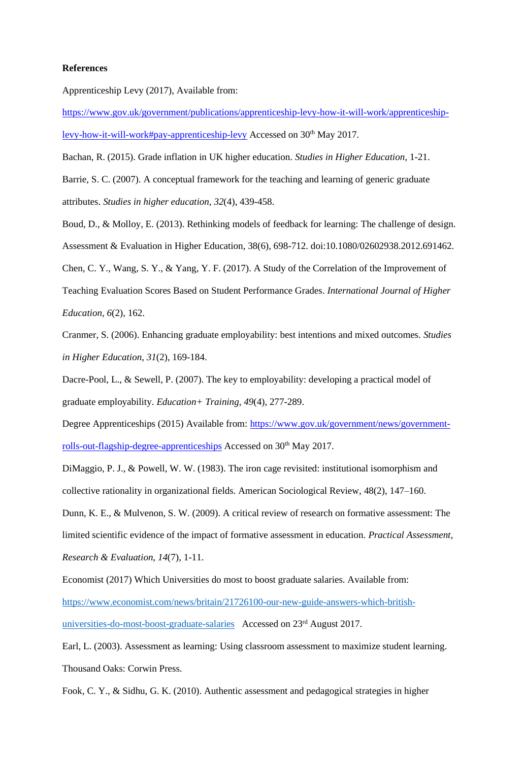#### **References**

Apprenticeship Levy (2017), Available from:

[https://www.gov.uk/government/publications/apprenticeship-levy-how-it-will-work/apprenticeship](https://www.gov.uk/government/publications/apprenticeship-levy-how-it-will-work/apprenticeship-levy-how-it-will-work#pay-apprenticeship-levy)[levy-how-it-will-work#pay-apprenticeship-levy](https://www.gov.uk/government/publications/apprenticeship-levy-how-it-will-work/apprenticeship-levy-how-it-will-work#pay-apprenticeship-levy) Accessed on 30<sup>th</sup> May 2017.

Bachan, R. (2015). Grade inflation in UK higher education. *Studies in Higher Education*, 1-21.

Barrie, S. C. (2007). A conceptual framework for the teaching and learning of generic graduate attributes. *Studies in higher education*, *32*(4), 439-458.

Boud, D., & Molloy, E. (2013). Rethinking models of feedback for learning: The challenge of design. Assessment & Evaluation in Higher Education, 38(6), 698-712. doi:10.1080/02602938.2012.691462. Chen, C. Y., Wang, S. Y., & Yang, Y. F. (2017). A Study of the Correlation of the Improvement of

Teaching Evaluation Scores Based on Student Performance Grades. *International Journal of Higher Education*, *6*(2), 162.

Cranmer, S. (2006). Enhancing graduate employability: best intentions and mixed outcomes. *Studies in Higher Education*, *31*(2), 169-184.

Dacre-Pool, L., & Sewell, P. (2007). The key to employability: developing a practical model of graduate employability. *Education+ Training*, *49*(4), 277-289.

Degree Apprenticeships (2015) Available from: [https://www.gov.uk/government/news/government](https://www.gov.uk/government/news/government-rolls-out-flagship-degree-apprenticeships)[rolls-out-flagship-degree-apprenticeships](https://www.gov.uk/government/news/government-rolls-out-flagship-degree-apprenticeships) Accessed on 30<sup>th</sup> May 2017.

DiMaggio, P. J., & Powell, W. W. (1983). The iron cage revisited: institutional isomorphism and collective rationality in organizational fields. American Sociological Review, 48(2), 147–160.

Dunn, K. E., & Mulvenon, S. W. (2009). A critical review of research on formative assessment: The limited scientific evidence of the impact of formative assessment in education. *Practical Assessment, Research & Evaluation*, *14*(7), 1-11.

Economist (2017) Which Universities do most to boost graduate salaries. Available from: [https://www.economist.com/news/britain/21726100-our-new-guide-answers-which-british](https://www.economist.com/news/britain/21726100-our-new-guide-answers-which-british-universities-do-most-boost-graduate-salaries)[universities-do-most-boost-graduate-salaries](https://www.economist.com/news/britain/21726100-our-new-guide-answers-which-british-universities-do-most-boost-graduate-salaries) Accessed on 23rd August 2017.

Earl, L. (2003). Assessment as learning: Using classroom assessment to maximize student learning. Thousand Oaks: Corwin Press.

Fook, C. Y., & Sidhu, G. K. (2010). Authentic assessment and pedagogical strategies in higher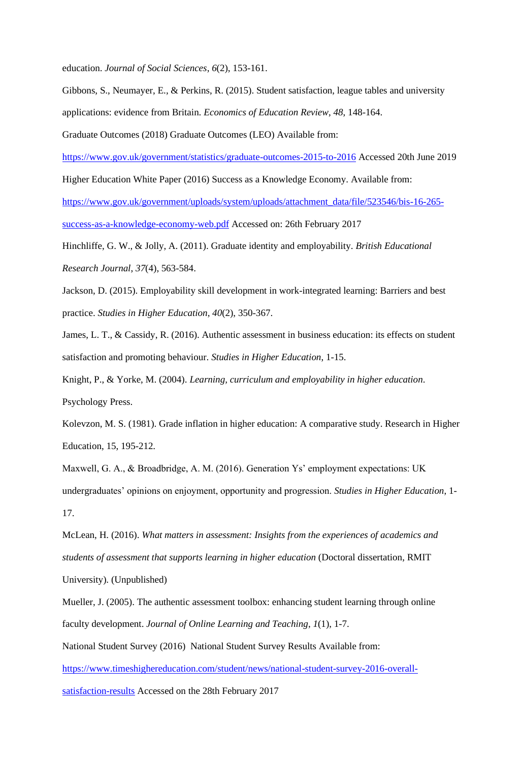education. *Journal of Social Sciences*, *6*(2), 153-161.

Gibbons, S., Neumayer, E., & Perkins, R. (2015). Student satisfaction, league tables and university

applications: evidence from Britain. *Economics of Education Review*, *48*, 148-164.

Graduate Outcomes (2018) Graduate Outcomes (LEO) Available from:

<https://www.gov.uk/government/statistics/graduate-outcomes-2015-to-2016> Accessed 20th June 2019

Higher Education White Paper (2016) Success as a Knowledge Economy. Available from:

[https://www.gov.uk/government/uploads/system/uploads/attachment\\_data/file/523546/bis-16-265](https://www.gov.uk/government/uploads/system/uploads/attachment_data/file/523546/bis-16-265-success-as-a-knowledge-economy-web.pdf) [success-as-a-knowledge-economy-web.pdf](https://www.gov.uk/government/uploads/system/uploads/attachment_data/file/523546/bis-16-265-success-as-a-knowledge-economy-web.pdf) Accessed on: 26th February 2017

Hinchliffe, G. W., & Jolly, A. (2011). Graduate identity and employability. *British Educational Research Journal*, *37*(4), 563-584.

Jackson, D. (2015). Employability skill development in work-integrated learning: Barriers and best practice. *Studies in Higher Education*, *40*(2), 350-367.

James, L. T., & Cassidy, R. (2016). Authentic assessment in business education: its effects on student satisfaction and promoting behaviour. *Studies in Higher Education*, 1-15.

Knight, P., & Yorke, M. (2004). *Learning, curriculum and employability in higher education*. Psychology Press.

Kolevzon, M. S. (1981). Grade inflation in higher education: A comparative study. Research in Higher Education, 15, 195-212.

Maxwell, G. A., & Broadbridge, A. M. (2016). Generation Ys' employment expectations: UK undergraduates' opinions on enjoyment, opportunity and progression. *Studies in Higher Education*, 1- 17.

McLean, H. (2016). *What matters in assessment: Insights from the experiences of academics and students of assessment that supports learning in higher education* (Doctoral dissertation, RMIT University). (Unpublished)

Mueller, J. (2005). The authentic assessment toolbox: enhancing student learning through online faculty development. *Journal of Online Learning and Teaching*, *1*(1), 1-7.

National Student Survey (2016) National Student Survey Results Available from:

[https://www.timeshighereducation.com/student/news/national-student-survey-2016-overall-](https://www.timeshighereducation.com/student/news/national-student-survey-2016-overall-satisfaction-results)

[satisfaction-results](https://www.timeshighereducation.com/student/news/national-student-survey-2016-overall-satisfaction-results) Accessed on the 28th February 2017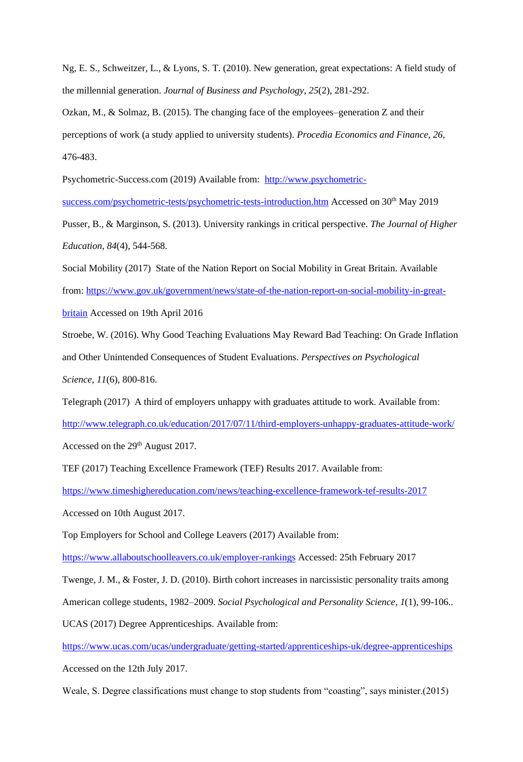Ng, E. S., Schweitzer, L., & Lyons, S. T. (2010). New generation, great expectations: A field study of the millennial generation. *Journal of Business and Psychology*, *25*(2), 281-292.

Ozkan, M., & Solmaz, B. (2015). The changing face of the employees–generation Z and their perceptions of work (a study applied to university students). *Procedia Economics and Finance*, *26*, 476-483.

Psychometric-Success.com (2019) Available from: [http://www.psychometric-](http://www.psychometric-success.com/psychometric-tests/psychometric-tests-introduction.htm)

[success.com/psychometric-tests/psychometric-tests-introduction.htm](http://www.psychometric-success.com/psychometric-tests/psychometric-tests-introduction.htm) Accessed on 30<sup>th</sup> May 2019

Pusser, B., & Marginson, S. (2013). University rankings in critical perspective. *The Journal of Higher Education*, *84*(4), 544-568.

Social Mobility (2017) State of the Nation Report on Social Mobility in Great Britain. Available from: [https://www.gov.uk/government/news/state-of-the-nation-report-on-social-mobility-in-great](https://www.gov.uk/government/news/state-of-the-nation-report-on-social-mobility-in-great-britain)[britain](https://www.gov.uk/government/news/state-of-the-nation-report-on-social-mobility-in-great-britain) Accessed on 19th April 2016

Stroebe, W. (2016). Why Good Teaching Evaluations May Reward Bad Teaching: On Grade Inflation and Other Unintended Consequences of Student Evaluations. *Perspectives on Psychological Science*, *11*(6), 800-816.

Telegraph (2017) A third of employers unhappy with graduates attitude to work. Available from:

<http://www.telegraph.co.uk/education/2017/07/11/third-employers-unhappy-graduates-attitude-work/> Accessed on the 29<sup>th</sup> August 2017.

TEF (2017) Teaching Excellence Framework (TEF) Results 2017. Available from:

<https://www.timeshighereducation.com/news/teaching-excellence-framework-tef-results-2017>

Accessed on 10th August 2017.

Top Employers for School and College Leavers (2017) Available from:

<https://www.allaboutschoolleavers.co.uk/employer-rankings> Accessed: 25th February 2017

Twenge, J. M., & Foster, J. D. (2010). Birth cohort increases in narcissistic personality traits among American college students, 1982–2009. *Social Psychological and Personality Science*, *1*(1), 99-106.. UCAS (2017) Degree Apprenticeships. Available from:

<https://www.ucas.com/ucas/undergraduate/getting-started/apprenticeships-uk/degree-apprenticeships>

Accessed on the 12th July 2017.

Weale, S. Degree classifications must change to stop students from "coasting", says minister.(2015)